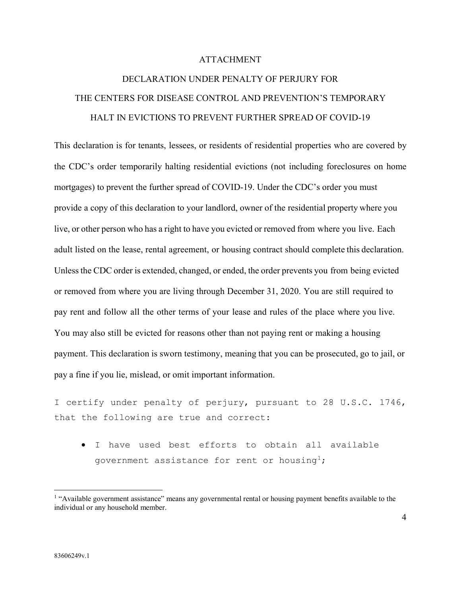## ATTACHMENT

## DECLARATION UNDER PENALTY OF PERJURY FOR THE CENTERS FOR DISEASE CONTROL AND PREVENTION'S TEMPORARY HALT IN EVICTIONS TO PREVENT FURTHER SPREAD OF COVID-19

This declaration is for tenants, lessees, or residents of residential properties who are covered by the CDC's order temporarily halting residential evictions (not including foreclosures on home mortgages) to prevent the further spread of COVID-19. Under the CDC's order you must provide a copy of this declaration to your landlord, owner of the residential property where you live, or other person who has a right to have you evicted or removed from where you live. Each adult listed on the lease, rental agreement, or housing contract should complete this declaration. Unless the CDC order is extended, changed, or ended, the order prevents you from being evicted or removed from where you are living through December 31, 2020. You are still required to pay rent and follow all the other terms of your lease and rules of the place where you live. You may also still be evicted for reasons other than not paying rent or making a housing payment. This declaration is sworn testimony, meaning that you can be prosecuted, go to jail, or pay a fine if you lie, mislead, or omit important information.

I certify under penalty of perjury, pursuant to 28 U.S.C. 1746, that the following are true and correct:

• I have used best efforts to obtain all available government assistance for rent or housing<sup>1</sup>;

<span id="page-0-0"></span><sup>&</sup>lt;sup>1</sup> "Available government assistance" means any governmental rental or housing payment benefits available to the individual or any household member.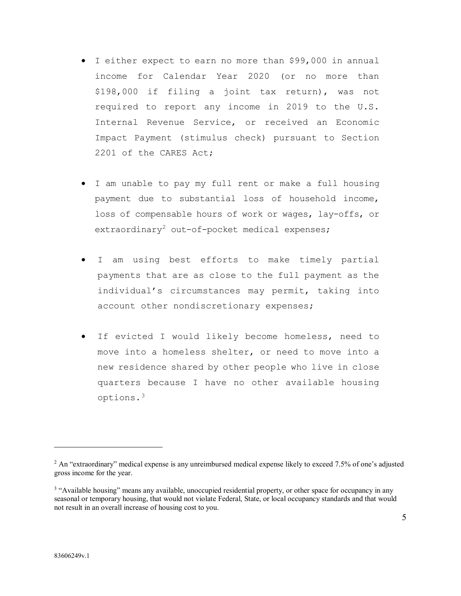- I either expect to earn no more than \$99,000 in annual income for Calendar Year 2020 (or no more than \$198,000 if filing a joint tax return), was not required to report any income in 2019 to the U.S. Internal Revenue Service, or received an Economic Impact Payment (stimulus check) pursuant to Section 2201 of the CARES Act;
- I am unable to pay my full rent or make a full housing payment due to substantial loss of household income, loss of compensable hours of work or wages, lay-offs, or extraordinary<sup>[2](#page-1-0)</sup> out-of-pocket medical expenses;
- I am using best efforts to make timely partial payments that are as close to the full payment as the individual's circumstances may permit, taking into account other nondiscretionary expenses;
- If evicted I would likely become homeless, need to move into a homeless shelter, or need to move into a new residence shared by other people who live in close quarters because I have no other available housing options.[3](#page-1-1)

 $\overline{a}$ 

<span id="page-1-0"></span><sup>&</sup>lt;sup>2</sup> An "extraordinary" medical expense is any unreimbursed medical expense likely to exceed 7.5% of one's adjusted gross income for the year.

<span id="page-1-1"></span><sup>&</sup>lt;sup>3</sup> "Available housing" means any available, unoccupied residential property, or other space for occupancy in any seasonal or temporary housing, that would not violate Federal, State, or local occupancy standards and that would not result in an overall increase of housing cost to you.